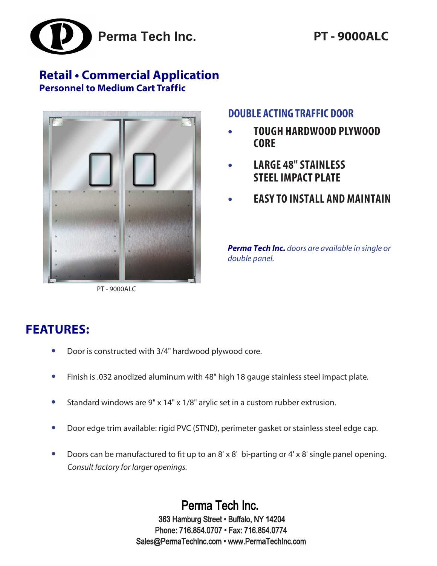

## **Retail • Commercial Application Personnel to Medium Cart Traffic**



PT - 9000ALC

## **DOUBLE ACTING TRAFFIC DOOR**

- **• TOUGH HARDWOOD PLYWOOD CORE**
- **LARGE 48" STAINLESS STEEL IMPACT PLATE**
- **• EASY TO INSTALL AND MAINTAIN**

**Perma Tech Inc.** doors are available in single or double panel.

# **FEATURES:**

- **•** Door is constructed with 3/4" hardwood plywood core.
- **•** Finish is .032 anodized aluminum with 48" high 18 gauge stainless steel impact plate.
- **•** Standard windows are 9" x 14" x 1/8" arylic set in a custom rubber extrusion.
- **•** Door edge trim available: rigid PVC (STND), perimeter gasket or stainless steel edge cap.
- **•** Doors can be manufactured to fit up to an 8' x 8' bi-parting or 4' x 8' single panel opening. *Consult factory for larger openings.*

Perma Tech Inc. 363 Hamburg Street • Buffalo, NY 14204 Phone: 716.854.0707 • Fax: 716.854.0774 Sales@PermaTechInc.com • www.PermaTechInc.com